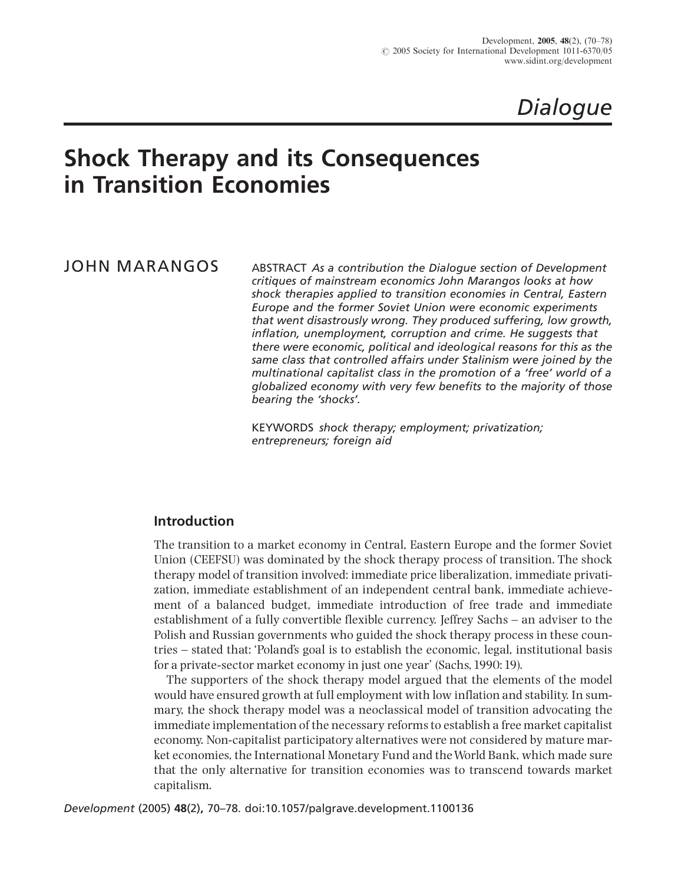# Dialogue

# Shock Therapy and its Consequences in Transition Economies

JOHN MARANGOS ABSTRACT As a contribution the Dialogue section of Development critiques of mainstream economics John Marangos looks at how shock therapies applied to transition economies in Central, Eastern Europe and the former Soviet Union were economic experiments that went disastrously wrong. They produced suffering, low growth, inflation, unemployment, corruption and crime. He suggests that there were economic, political and ideological reasons for this as the same class that controlled affairs under Stalinism were joined by the multinational capitalist class in the promotion of a 'free' world of a globalized economy with very few benefits to the majority of those bearing the 'shocks'.

> KEYWORDS shock therapy; employment; privatization; entrepreneurs; foreign aid

#### Introduction

The transition to a market economy in Central, Eastern Europe and the former Soviet Union (CEEFSU) was dominated by the shock therapy process of transition. The shock therapy model of transition involved: immediate price liberalization, immediate privatization, immediate establishment of an independent central bank, immediate achievement of a balanced budget, immediate introduction of free trade and immediate establishment of a fully convertible flexible currency. Jeffrey Sachs ^ an adviser to the Polish and Russian governments who guided the shock therapy process in these countries ^ stated that:'Poland's goal is to establish the economic, legal, institutional basis for a private-sector market economy in just one year' (Sachs,1990:19).

The supporters of the shock therapy model argued that the elements of the model would have ensured growth at full employment with low inflation and stability. In summary, the shock therapy model was a neoclassical model of transition advocating the immediate implementation of the necessary reforms to establish a free market capitalist economy. Non-capitalist participatory alternatives were not considered by mature market economies, the International Monetary Fund and theWorld Bank, which made sure that the only alternative for transition economies was to transcend towards market capitalism.

Development (2005) 48(2), 70–78. doi:10.1057/palgrave.development.1100136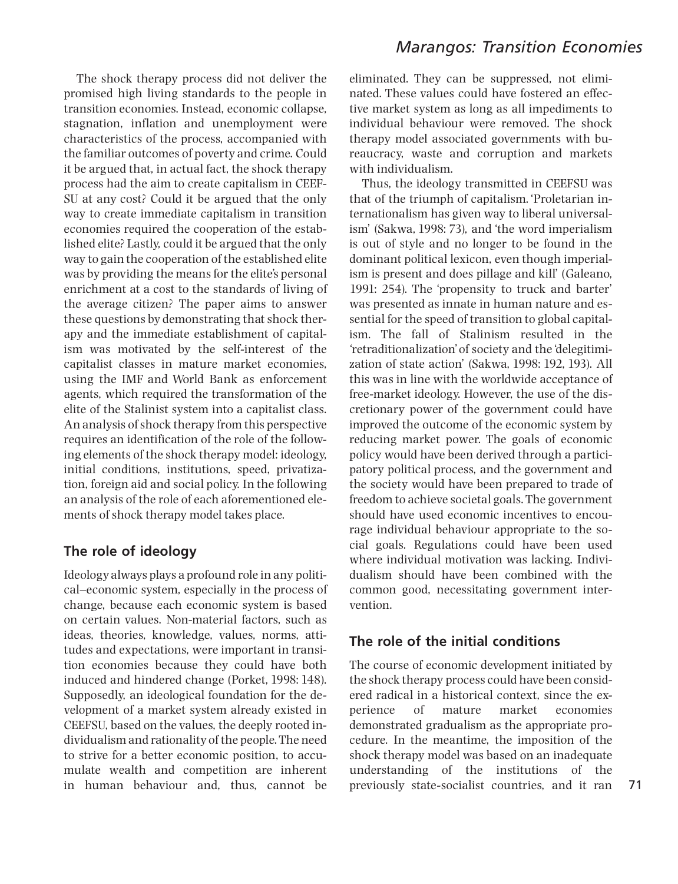The shock therapy process did not deliver the promised high living standards to the people in transition economies. Instead, economic collapse, stagnation, inflation and unemployment were characteristics of the process, accompanied with the familiar outcomes of poverty and crime. Could it be argued that, in actual fact, the shock therapy process had the aim to create capitalism in CEEF-SU at any cost? Could it be argued that the only way to create immediate capitalism in transition economies required the cooperation of the established elite? Lastly, could it be argued that the only way to gain the cooperation of the established elite was by providing the means for the elite's personal enrichment at a cost to the standards of living of the average citizen? The paper aims to answer these questions by demonstrating that shock therapy and the immediate establishment of capitalism was motivated by the self-interest of the capitalist classes in mature market economies, using the IMF and World Bank as enforcement agents, which required the transformation of the elite of the Stalinist system into a capitalist class. An analysis of shock therapy from this perspective requires an identification of the role of the following elements of the shock therapy model: ideology, initial conditions, institutions, speed, privatization, foreign aid and social policy. In the following an analysis of the role of each aforementioned elements of shock therapy model takes place.

# The role of ideology

Ideology always plays a profound role in any political^economic system, especially in the process of change, because each economic system is based on certain values. Non-material factors, such as ideas, theories, knowledge, values, norms, attitudes and expectations, were important in transition economies because they could have both induced and hindered change (Porket, 1998: 148). Supposedly, an ideological foundation for the development of a market system already existed in CEEFSU, based on the values, the deeply rooted individualism and rationality of the people.The need to strive for a better economic position, to accumulate wealth and competition are inherent in human behaviour and, thus, cannot be

eliminated. They can be suppressed, not eliminated. These values could have fostered an effective market system as long as all impediments to individual behaviour were removed. The shock therapy model associated governments with bureaucracy, waste and corruption and markets with individualism.

Thus, the ideology transmitted in CEEFSU was that of the triumph of capitalism.'Proletarian internationalism has given way to liberal universalism' (Sakwa, 1998: 73), and 'the word imperialism is out of style and no longer to be found in the dominant political lexicon, even though imperialism is present and does pillage and kill' (Galeano, 1991:254). The 'propensity to truck and barter' was presented as innate in human nature and essential for the speed of transition to global capitalism. The fall of Stalinism resulted in the 'retraditionalization'of society and the 'delegitimization of state action' (Sakwa, 1998:192, 193). All this was in line with the worldwide acceptance of free-market ideology. However, the use of the discretionary power of the government could have improved the outcome of the economic system by reducing market power. The goals of economic policy would have been derived through a participatory political process, and the government and the society would have been prepared to trade of freedom to achieve societal goals. The government should have used economic incentives to encourage individual behaviour appropriate to the social goals. Regulations could have been used where individual motivation was lacking. Individualism should have been combined with the common good, necessitating government intervention.

## The role of the initial conditions

The course of economic development initiated by the shock therapy process could have been considered radical in a historical context, since the experience of mature market economies demonstrated gradualism as the appropriate procedure. In the meantime, the imposition of the shock therapy model was based on an inadequate understanding of the institutions of the previously state-socialist countries, and it ran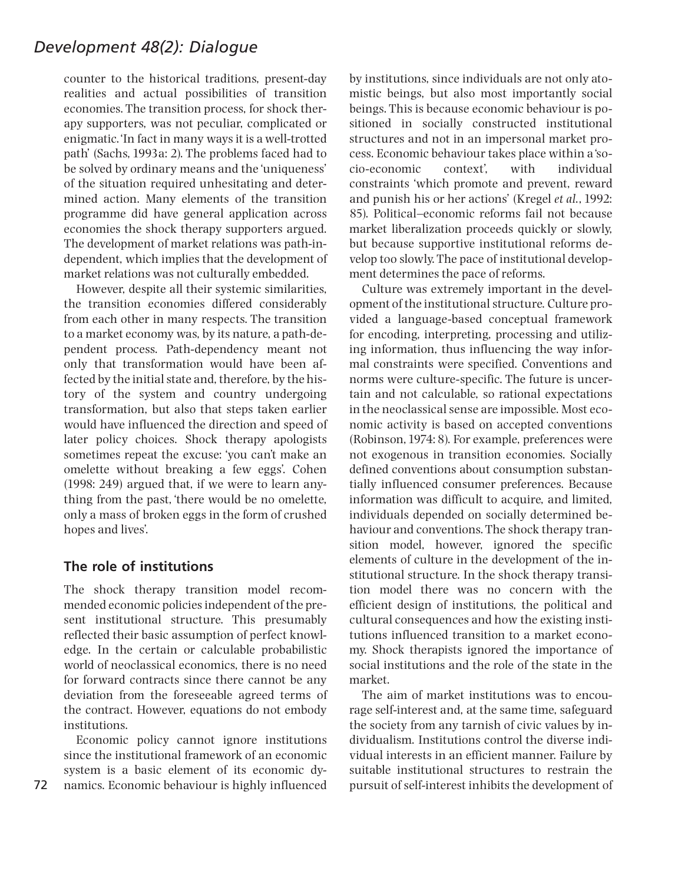counter to the historical traditions, present-day realities and actual possibilities of transition economies. The transition process, for shock therapy supporters, was not peculiar, complicated or enigmatic.'In fact in many ways it is a well-trotted path' (Sachs, 1993a:2). The problems faced had to be solved by ordinary means and the 'uniqueness' of the situation required unhesitating and determined action. Many elements of the transition programme did have general application across economies the shock therapy supporters argued. The development of market relations was path-independent, which implies that the development of market relations was not culturally embedded.

However, despite all their systemic similarities, the transition economies differed considerably from each other in many respects. The transition to a market economy was, by its nature, a path-dependent process. Path-dependency meant not only that transformation would have been affected by the initial state and, therefore, by the history of the system and country undergoing transformation, but also that steps taken earlier would have influenced the direction and speed of later policy choices. Shock therapy apologists sometimes repeat the excuse:'you can't make an omelette without breaking a few eggs'. Cohen  $(1998:249)$  argued that, if we were to learn anything from the past, 'there would be no omelette, only a mass of broken eggs in the form of crushed hopes and lives'.

### The role of institutions

The shock therapy transition model recommended economic policies independent of the present institutional structure. This presumably reflected their basic assumption of perfect knowledge. In the certain or calculable probabilistic world of neoclassical economics, there is no need for forward contracts since there cannot be any deviation from the foreseeable agreed terms of the contract. However, equations do not embody institutions.

Economic policy cannot ignore institutions since the institutional framework of an economic system is a basic element of its economic dynamics. Economic behaviour is highly influenced

by institutions, since individuals are not only atomistic beings, but also most importantly social beings. This is because economic behaviour is positioned in socially constructed institutional structures and not in an impersonal market process. Economic behaviour takes place within a'socio-economic context', with individual constraints 'which promote and prevent, reward and punish his or her actions' (Kregel et al., 1992: 85). Political^economic reforms fail not because market liberalization proceeds quickly or slowly, but because supportive institutional reforms develop too slowly. The pace of institutional development determines the pace of reforms.

Culture was extremely important in the development of the institutional structure. Culture provided a language-based conceptual framework for encoding, interpreting, processing and utilizing information, thus influencing the way informal constraints were specified. Conventions and norms were culture-specific. The future is uncertain and not calculable, so rational expectations in the neoclassical sense are impossible. Most economic activity is based on accepted conventions (Robinson,1974:8). For example, preferences were not exogenous in transition economies. Socially defined conventions about consumption substantially influenced consumer preferences. Because information was difficult to acquire, and limited, individuals depended on socially determined behaviour and conventions. The shock therapy transition model, however, ignored the specific elements of culture in the development of the institutional structure. In the shock therapy transition model there was no concern with the efficient design of institutions, the political and cultural consequences and how the existing institutions influenced transition to a market economy. Shock therapists ignored the importance of social institutions and the role of the state in the market.

The aim of market institutions was to encourage self-interest and, at the same time, safeguard the society from any tarnish of civic values by individualism. Institutions control the diverse individual interests in an efficient manner. Failure by suitable institutional structures to restrain the pursuit of self-interest inhibits the development of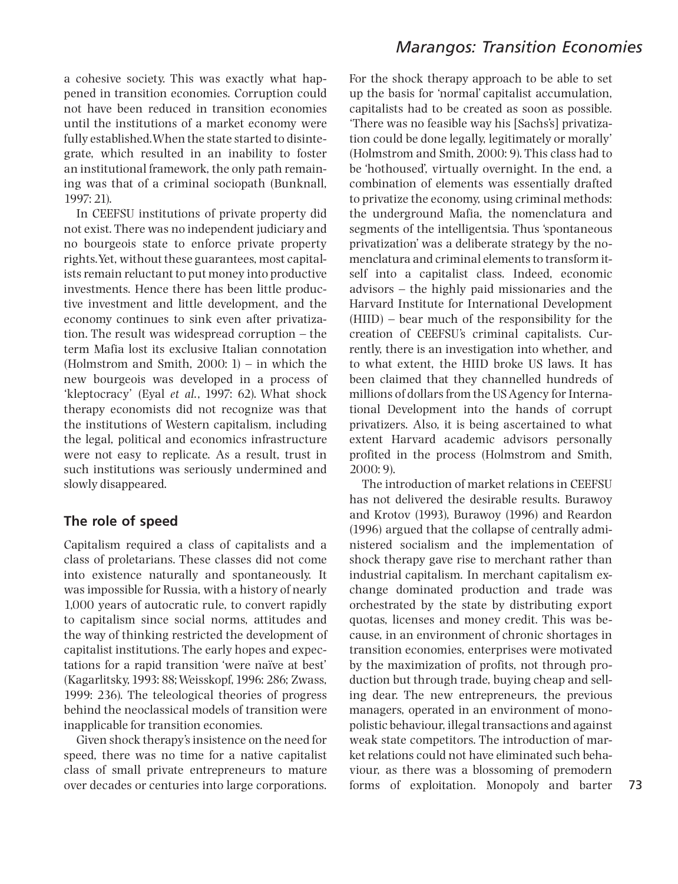a cohesive society. This was exactly what happened in transition economies. Corruption could not have been reduced in transition economies until the institutions of a market economy were fully established.When the state started to disintegrate, which resulted in an inability to foster an institutional framework, the only path remaining was that of a criminal sociopath (Bunknall, 1997:21).

In CEEFSU institutions of private property did not exist. There was no independent judiciary and no bourgeois state to enforce private property rights.Yet, without these guarantees, most capitalists remain reluctant to put money into productive investments. Hence there has been little productive investment and little development, and the economy continues to sink even after privatization. The result was widespread corruption  $-$  the term Mafia lost its exclusive Italian connotation (Holmstrom and Smith,  $2000:1$ ) – in which the new bourgeois was developed in a process of 'kleptocracy' (Eyal et al., 1997: 62). What shock therapy economists did not recognize was that the institutions of Western capitalism, including the legal, political and economics infrastructure were not easy to replicate. As a result, trust in such institutions was seriously undermined and slowly disappeared.

# The role of speed

Capitalism required a class of capitalists and a class of proletarians. These classes did not come into existence naturally and spontaneously. It was impossible for Russia, with a history of nearly 1,000 years of autocratic rule, to convert rapidly to capitalism since social norms, attitudes and the way of thinking restricted the development of capitalist institutions. The early hopes and expectations for a rapid transition 'were naïve at best' (Kagarlitsky,1993:88;Weisskopf,1996:286; Zwass, 1999:236). The teleological theories of progress behind the neoclassical models of transition were inapplicable for transition economies.

Given shock therapy's insistence on the need for speed, there was no time for a native capitalist class of small private entrepreneurs to mature over decades or centuries into large corporations. For the shock therapy approach to be able to set up the basis for 'normal' capitalist accumulation, capitalists had to be created as soon as possible. 'There was no feasible way his [Sachs's] privatization could be done legally, legitimately or morally' (Holmstrom and Smith, 2000: 9). This class had to be 'hothoused', virtually overnight. In the end, a combination of elements was essentially drafted to privatize the economy, using criminal methods: the underground Mafia, the nomenclatura and segments of the intelligentsia. Thus 'spontaneous privatization' was a deliberate strategy by the nomenclatura and criminal elements to transform itself into a capitalist class. Indeed, economic advisors ^ the highly paid missionaries and the Harvard Institute for International Development  $(HIID)$  – bear much of the responsibility for the creation of CEEFSU's criminal capitalists. Currently, there is an investigation into whether, and to what extent, the HIID broke US laws. It has been claimed that they channelled hundreds of millions of dollars from the US Agency for International Development into the hands of corrupt privatizers. Also, it is being ascertained to what extent Harvard academic advisors personally profited in the process (Holmstrom and Smith, 2000:9).

The introduction of market relations in CEEFSU has not delivered the desirable results. Burawoy and Krotov (1993), Burawoy (1996) and Reardon (1996) argued that the collapse of centrally administered socialism and the implementation of shock therapy gave rise to merchant rather than industrial capitalism. In merchant capitalism exchange dominated production and trade was orchestrated by the state by distributing export quotas, licenses and money credit. This was because, in an environment of chronic shortages in transition economies, enterprises were motivated by the maximization of profits, not through production but through trade, buying cheap and selling dear. The new entrepreneurs, the previous managers, operated in an environment of monopolistic behaviour, illegal transactions and against weak state competitors. The introduction of market relations could not have eliminated such behaviour, as there was a blossoming of premodern forms of exploitation. Monopoly and barter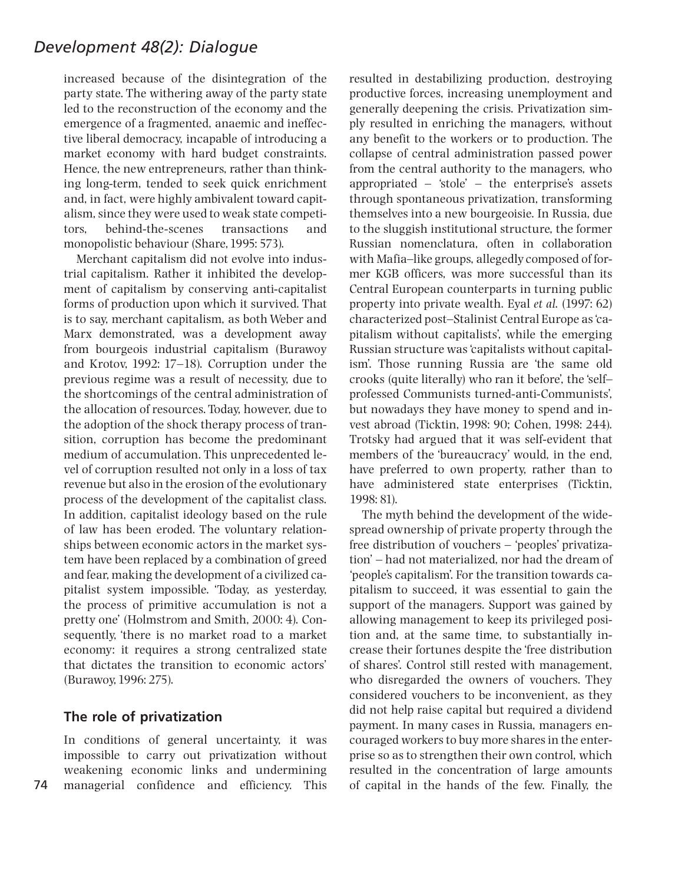increased because of the disintegration of the party state. The withering away of the party state led to the reconstruction of the economy and the emergence of a fragmented, anaemic and ineffective liberal democracy, incapable of introducing a market economy with hard budget constraints. Hence, the new entrepreneurs, rather than thinking long-term, tended to seek quick enrichment and, in fact, were highly ambivalent toward capitalism, since they were used to weak state competitors, behind-the-scenes transactions and monopolistic behaviour (Share, 1995: 573).

Merchant capitalism did not evolve into industrial capitalism. Rather it inhibited the development of capitalism by conserving anti-capitalist forms of production upon which it survived. That is to say, merchant capitalism, as both Weber and Marx demonstrated, was a development away from bourgeois industrial capitalism (Burawoy and Krotov, 1992: 17-18). Corruption under the previous regime was a result of necessity, due to the shortcomings of the central administration of the allocation of resources. Today, however, due to the adoption of the shock therapy process of transition, corruption has become the predominant medium of accumulation. This unprecedented level of corruption resulted not only in a loss of tax revenue but also in the erosion of the evolutionary process of the development of the capitalist class. In addition, capitalist ideology based on the rule of law has been eroded. The voluntary relationships between economic actors in the market system have been replaced by a combination of greed and fear, making the development of a civilized capitalist system impossible. 'Today, as yesterday, the process of primitive accumulation is not a pretty one' (Holmstrom and Smith, 2000: 4). Consequently, 'there is no market road to a market economy: it requires a strong centralized state that dictates the transition to economic actors' (Burawoy,1996:275).

### The role of privatization

In conditions of general uncertainty, it was impossible to carry out privatization without weakening economic links and undermining managerial confidence and efficiency. This resulted in destabilizing production, destroying productive forces, increasing unemployment and generally deepening the crisis. Privatization simply resulted in enriching the managers, without any benefit to the workers or to production. The collapse of central administration passed power from the central authority to the managers, who appropriated  $-$  'stole'  $-$  the enterprise's assets through spontaneous privatization, transforming themselves into a new bourgeoisie. In Russia, due to the sluggish institutional structure, the former Russian nomenclatura, often in collaboration with Mafia-like groups, allegedly composed of former KGB officers, was more successful than its Central European counterparts in turning public property into private wealth. Eyal et al. (1997: 62) characterized post^Stalinist Central Europe as 'capitalism without capitalists', while the emerging Russian structure was 'capitalists without capitalism'. Those running Russia are 'the same old crooks (quite literally) who ran it before', the 'self^ professed Communists turned-anti-Communists', but nowadays they have money to spend and invest abroad (Ticktin, 1998:90; Cohen, 1998:244). Trotsky had argued that it was self-evident that members of the 'bureaucracy' would, in the end, have preferred to own property, rather than to have administered state enterprises (Ticktin, 1998:81).

The myth behind the development of the widespread ownership of private property through the free distribution of vouchers ^ 'peoples' privatization' – had not materialized, nor had the dream of 'people's capitalism'. For the transition towards capitalism to succeed, it was essential to gain the support of the managers. Support was gained by allowing management to keep its privileged position and, at the same time, to substantially increase their fortunes despite the 'free distribution of shares'. Control still rested with management, who disregarded the owners of vouchers. They considered vouchers to be inconvenient, as they did not help raise capital but required a dividend payment. In many cases in Russia, managers encouraged workers to buy more shares in the enterprise so as to strengthen their own control, which resulted in the concentration of large amounts of capital in the hands of the few. Finally, the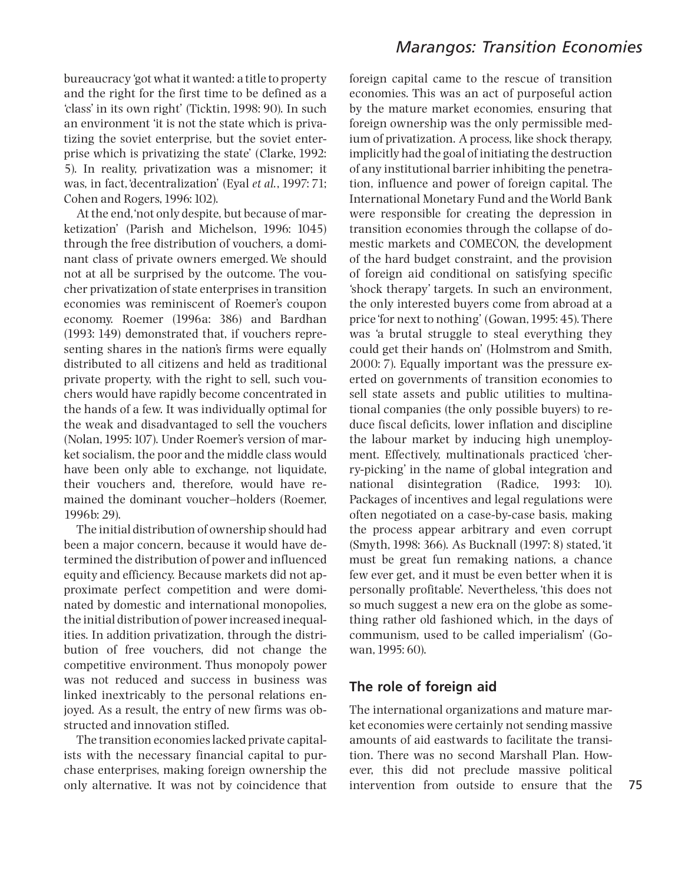bureaucracy 'got what it wanted:a title to property and the right for the first time to be defined as a 'class' in its own right' (Ticktin, 1998:90). In such an environment 'it is not the state which is privatizing the soviet enterprise, but the soviet enterprise which is privatizing the state' (Clarke, 1992: 5). In reality, privatization was a misnomer; it was, in fact, 'decentralization' (Eval et al., 1997: 71; Cohen and Rogers,1996:102).

At the end,'not only despite, but because of marketization' (Parish and Michelson, 1996: 1045) through the free distribution of vouchers, a dominant class of private owners emerged.We should not at all be surprised by the outcome. The voucher privatization of state enterprises in transition economies was reminiscent of Roemer's coupon economy. Roemer (1996a:386) and Bardhan (1993: 149) demonstrated that, if vouchers representing shares in the nation's firms were equally distributed to all citizens and held as traditional private property, with the right to sell, such vouchers would have rapidly become concentrated in the hands of a few. It was individually optimal for the weak and disadvantaged to sell the vouchers (Nolan,1995:107). Under Roemer's version of market socialism, the poor and the middle class would have been only able to exchange, not liquidate, their vouchers and, therefore, would have remained the dominant voucher-holders (Roemer, 1996b:29).

The initial distribution of ownership should had been a major concern, because it would have determined the distribution of power and influenced equity and efficiency. Because markets did not approximate perfect competition and were dominated by domestic and international monopolies, the initial distribution of power increased inequalities. In addition privatization, through the distribution of free vouchers, did not change the competitive environment. Thus monopoly power was not reduced and success in business was linked inextricably to the personal relations enjoyed. As a result, the entry of new firms was obstructed and innovation stifled.

The transition economies lacked private capitalists with the necessary financial capital to purchase enterprises, making foreign ownership the only alternative. It was not by coincidence that

foreign capital came to the rescue of transition economies. This was an act of purposeful action by the mature market economies, ensuring that foreign ownership was the only permissible medium of privatization. A process, like shock therapy, implicitly had the goal of initiating the destruction of any institutional barrier inhibiting the penetration, influence and power of foreign capital. The International Monetary Fund and theWorld Bank were responsible for creating the depression in transition economies through the collapse of domestic markets and COMECON, the development of the hard budget constraint, and the provision of foreign aid conditional on satisfying specific 'shock therapy' targets. In such an environment, the only interested buyers come from abroad at a price'for next to nothing' (Gowan,1995:45). There was 'a brutal struggle to steal everything they could get their hands on' (Holmstrom and Smith, 2000:7). Equally important was the pressure exerted on governments of transition economies to sell state assets and public utilities to multinational companies (the only possible buyers) to reduce fiscal deficits, lower inflation and discipline the labour market by inducing high unemployment. Effectively, multinationals practiced 'cherry-picking' in the name of global integration and national disintegration (Radice, 1993: 10). Packages of incentives and legal regulations were often negotiated on a case-by-case basis, making the process appear arbitrary and even corrupt (Smyth, 1998:366). As Bucknall (1997:8) stated,'it must be great fun remaking nations, a chance few ever get, and it must be even better when it is personally profitable'. Nevertheless, 'this does not so much suggest a new era on the globe as something rather old fashioned which, in the days of communism, used to be called imperialism' (Gowan,1995:60).

### The role of foreign aid

The international organizations and mature market economies were certainly not sending massive amounts of aid eastwards to facilitate the transition. There was no second Marshall Plan. However, this did not preclude massive political intervention from outside to ensure that the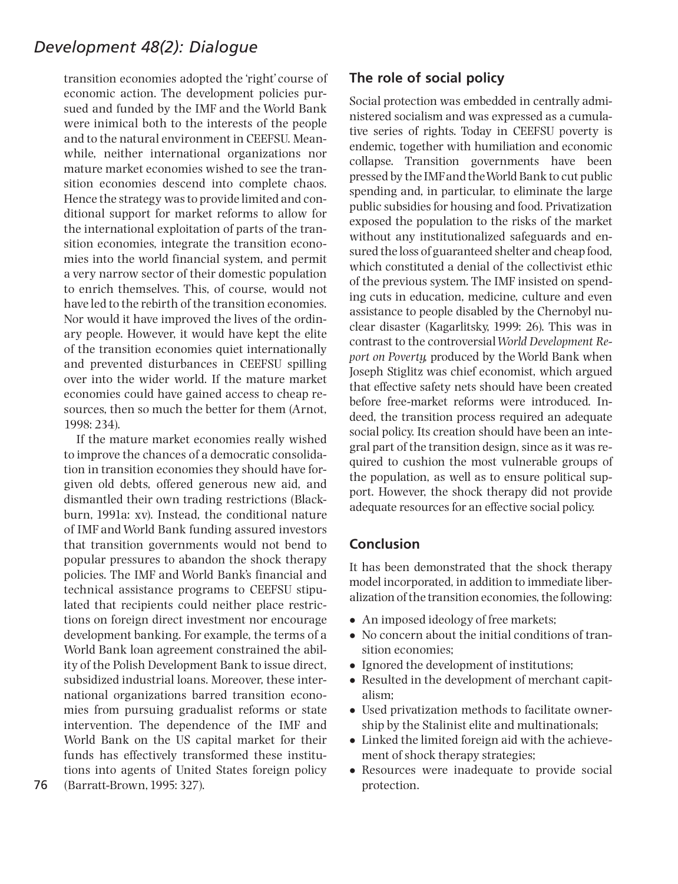transition economies adopted the 'right'course of economic action. The development policies pursued and funded by the IMF and the World Bank were inimical both to the interests of the people and to the natural environment in CEEFSU. Meanwhile, neither international organizations nor mature market economies wished to see the transition economies descend into complete chaos. Hence the strategy was to provide limited and conditional support for market reforms to allow for the international exploitation of parts of the transition economies, integrate the transition economies into the world financial system, and permit a very narrow sector of their domestic population to enrich themselves. This, of course, would not have led to the rebirth of the transition economies. Nor would it have improved the lives of the ordinary people. However, it would have kept the elite of the transition economies quiet internationally and prevented disturbances in CEEFSU spilling over into the wider world. If the mature market economies could have gained access to cheap resources, then so much the better for them (Arnot, 1998:234).

If the mature market economies really wished to improve the chances of a democratic consolidation in transition economies they should have forgiven old debts, offered generous new aid, and dismantled their own trading restrictions (Blackburn, 1991a: xv). Instead, the conditional nature of IMF and World Bank funding assured investors that transition governments would not bend to popular pressures to abandon the shock therapy policies. The IMF and World Bank's financial and technical assistance programs to CEEFSU stipulated that recipients could neither place restrictions on foreign direct investment nor encourage development banking. For example, the terms of a World Bank loan agreement constrained the ability of the Polish Development Bank to issue direct, subsidized industrial loans. Moreover, these international organizations barred transition economies from pursuing gradualist reforms or state intervention. The dependence of the IMF and World Bank on the US capital market for their funds has effectively transformed these institutions into agents of United States foreign policy (Barratt-Brown,1995:327).

#### The role of social policy

Social protection was embedded in centrally administered socialism and was expressed as a cumulative series of rights. Today in CEEFSU poverty is endemic, together with humiliation and economic collapse. Transition governments have been pressed by the IMFand theWorld Bank to cut public spending and, in particular, to eliminate the large public subsidies for housing and food. Privatization exposed the population to the risks of the market without any institutionalized safeguards and ensured the loss of guaranteed shelter and cheap food, which constituted a denial of the collectivist ethic of the previous system. The IMF insisted on spending cuts in education, medicine, culture and even assistance to people disabled by the Chernobyl nuclear disaster (Kagarlitsky, 1999:26). This was in contrast to the controversialWorld Development Report on Poverty, produced by the World Bank when Joseph Stiglitz was chief economist, which argued that effective safety nets should have been created before free-market reforms were introduced. Indeed, the transition process required an adequate social policy. Its creation should have been an integral part of the transition design, since as it was required to cushion the most vulnerable groups of the population, as well as to ensure political support. However, the shock therapy did not provide adequate resources for an effective social policy.

#### Conclusion

It has been demonstrated that the shock therapy model incorporated, in addition to immediate liberalization of the transition economies, the following:

- An imposed ideology of free markets;
- No concern about the initial conditions of transition economies;
- Ignored the development of institutions;
- Resulted in the development of merchant capitalism;
- Used privatization methods to facilitate ownership by the Stalinist elite and multinationals;
- Linked the limited foreign aid with the achievement of shock therapy strategies;
- Resources were inadequate to provide social protection.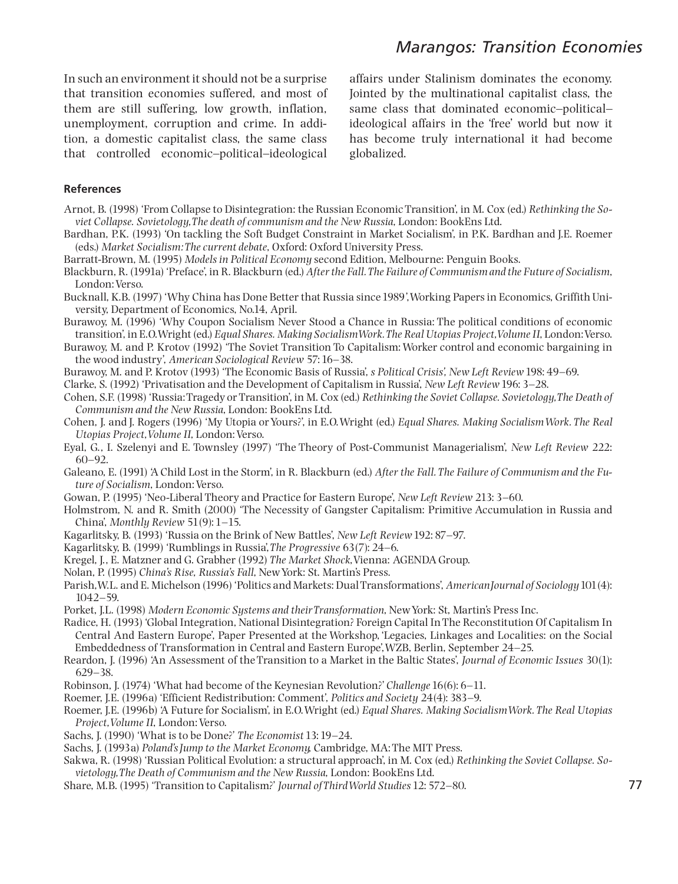# Marangos: Transition Economies

In such an environment it should not be a surprise that transition economies suffered, and most of them are still suffering, low growth, inflation, unemployment, corruption and crime. In addition, a domestic capitalist class, the same class that controlled economic-political-ideological

affairs under Stalinism dominates the economy. Jointed by the multinational capitalist class, the same class that dominated economic-politicalideological affairs in the 'free' world but now it has become truly international it had become globalized.

#### References

- Arnot, B. (1998) 'From Collapse to Disintegration: the Russian Economic Transition', in M. Cox (ed.) Rethinking the Soviet Collapse. Sovietology, The death of communism and the New Russia, London: BookEns Ltd.
- Bardhan, P.K. (1993) 'On tackling the Soft Budget Constraint in Market Socialism', in P.K. Bardhan and J.E. Roemer (eds.) Market Socialism:The current debate, Oxford:Oxford University Press.
- Barratt-Brown, M. (1995) Models in Political Economy second Edition, Melbourne: Penguin Books.
- Blackburn, R. (1991a) 'Preface', in R. Blackburn (ed.) After the Fall.The Failure of Communism and the Future of Socialism, London: Verso.
- Bucknall, K.B. (1997) 'Why China has Done Better that Russia since1989',Working Papers in Economics, Griffith University, Department of Economics, No.14, April.
- Burawoy, M. (1996) 'Why Coupon Socialism Never Stood a Chance in Russia: The political conditions of economic transition', in E.O.Wright (ed.) Equal Shares. Making SocialismWork.The Real Utopias Project,Volume II, London:Verso.
- Burawoy, M. and P. Krotov (1992) 'The Soviet Transition To Capitalism: Worker control and economic bargaining in the wood industry', American Sociological Review 57:16-38.
- Burawoy, M. and P. Krotov (1993) 'The Economic Basis of Russia', s Political Crisis', New Left Review 198: 49–69.
- Clarke, S. (1992) 'Privatisation and the Development of Capitalism in Russia', New Left Review 196: 3–28.
- Cohen, S.F. (1998) 'Russia:Tragedy or Transition', in M. Cox (ed.) Rethinking the Soviet Collapse. Sovietology,The Death of Communism and the New Russia, London: BookEns Ltd.
- Cohen, J. and J. Rogers (1996) 'My Utopia orYours?', in E.O.Wright (ed.) Equal Shares. Making SocialismWork. The Real Utopias Project, Volume II, London: Verso.
- Eyal, G., I. Szelenyi and E. Townsley (1997) 'The Theory of Post-Communist Managerialism', NewLeft Review 222:  $60 - 92.$
- Galeano, E. (1991) 'A Child Lost in the Storm', in R. Blackburn (ed.) After the Fall. The Failure of Communism and the Future of Socialism, London: Verso.
- Gowan, P. (1995) 'Neo-Liberal Theory and Practice for Eastern Europe', New Left Review 213: 3–60.
- Holmstrom, N. and R. Smith (2000) 'The Necessity of Gangster Capitalism: Primitive Accumulation in Russia and China', Monthly Review  $51(9)$ :  $1-15$ .
- Kagarlitsky, B. (1993) 'Russia on the Brink of New Battles', New Left Review 192: 87–97.
- Kagarlitsky, B. (1999) 'Rumblings in Russia', The Progressive 63(7): 24–6.
- Kregel, J., E. Matzner and G. Grabher (1992) The Market Shock, Vienna: AGENDA Group.
- Nolan, P. (1995) China's Rise, Russia's Fall, NewYork: St. Martin's Press.
- Parish, W.L. and E. Michelson (1996) 'Politics and Markets: Dual Transformations', American Journal of Sociology 101(4):  $1042 - 59.$
- Porket, J.L. (1998) Modern Economic Systems and theirTransformation, NewYork:St, Martin's Press Inc.
- Radice, H. (1993) 'Global Integration, National Disintegration? Foreign Capital In The Reconstitution Of Capitalism In Central And Eastern Europe', Paper Presented at the Workshop, 'Legacies, Linkages and Localities: on the Social Embeddedness of Transformation in Central and Eastern Europe',WZB, Berlin, September 24^25.
- Reardon, J. (1996) 'An Assessment of the Transition to a Market in the Baltic States', Journal of Economic Issues 30(1): 629^38.
- Robinson, J. (1974) 'What had become of the Keynesian Revolution?' Challenge  $16(6)$ :  $6-11$ .
- Roemer, J.E. (1996a) 'Efficient Redistribution: Comment', Politics and Society 24(4): 383–9.
- Roemer, J.E. (1996b) 'A Future for Socialism', in E.O.Wright (ed.) Equal Shares. Making SocialismWork. The Real Utopias Project, Volume II, London: Verso.
- Sachs, J. (1990) 'What is to be Done?' The Economist 13: 19-24.
- Sachs, J. (1993a) Poland's Jump to the Market Economy, Cambridge, MA:The MIT Press.
- Sakwa, R. (1998) 'Russian Political Evolution: a structural approach', in M. Cox (ed.) Rethinking the Soviet Collapse. Sovietology, The Death of Communism and the New Russia, London: BookEns Ltd.
- Share, M.B. (1995) 'Transition to Capitalism?' Journal of Third World Studies 12: 572-80.